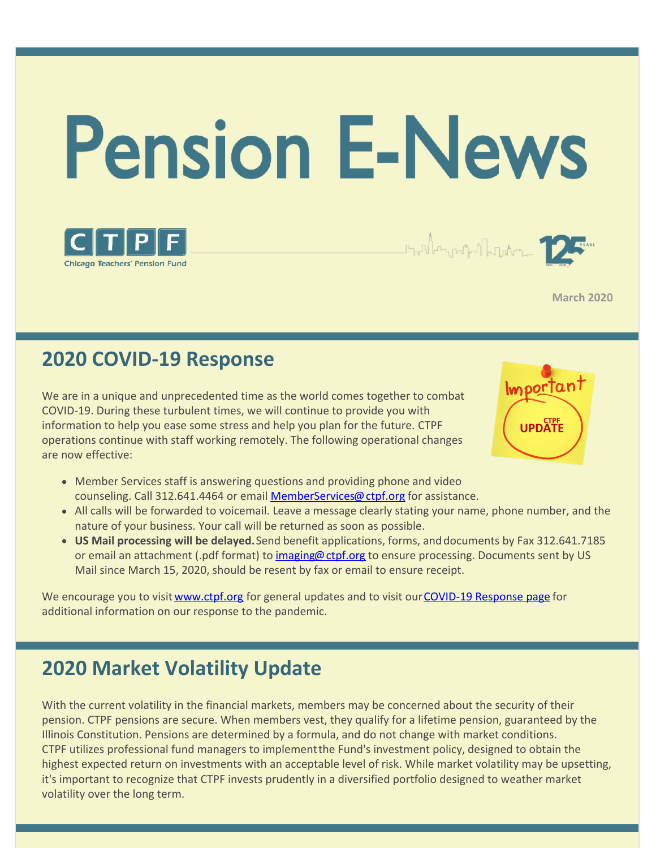



**March 2020**

# **2020 COVID-19 Response**

We are in a unique and unprecedented time as the world comes together to combat COVID-19. During these turbulent times, we will continue to provide you with information to help you ease some stress and help you plan for the future. CTPF operations continue with staff working remotely. The following operational changes are now effective:



Strillen und Martin

- Member Services staff is answering questions and providing phone and video counseling. Call 312.641.4464 or email [MemberServices@ctpf.org](mailto:memberservices@ctpf.org) for assistance.
- All calls will be forwarded to voicemail. Leave a message clearly stating your name, phone number, and the nature of your business. Your call will be returned as soon as possible.
- **US Mail processing will be delayed.**Send benefit applications, forms, anddocuments by Fax 312.641.7185 or email an attachment (.pdf format) to [imaging@ctpf.org](mailto:imaging@ctpf.org) to ensure processing. Documents sent by US Mail since March 15, 2020, should be resent by fax or email to ensure receipt.

We encourage you to visit [www.ctpf.org](http://www.ctpf.org) for general updates and to visit our [COVID-19](https://www.ctpf.org/covid-19) Response page for additional information on our response to the pandemic.

# **2020 Market Volatility Update**

With the current volatility in the financial markets, members may be concerned about the security of their pension. CTPF pensions are secure. When members vest, they qualify for a lifetime pension, guaranteed by the Illinois Constitution. Pensions are determined by a formula, and do not change with market conditions. CTPF utilizes professional fund managers to implementthe Fund's investment policy, designed to obtain the highest expected return on investments with an acceptable level of risk. While market volatility may be upsetting, it's important to recognize that CTPF invests prudently in a diversified portfolio designed to weather market volatility over the long term.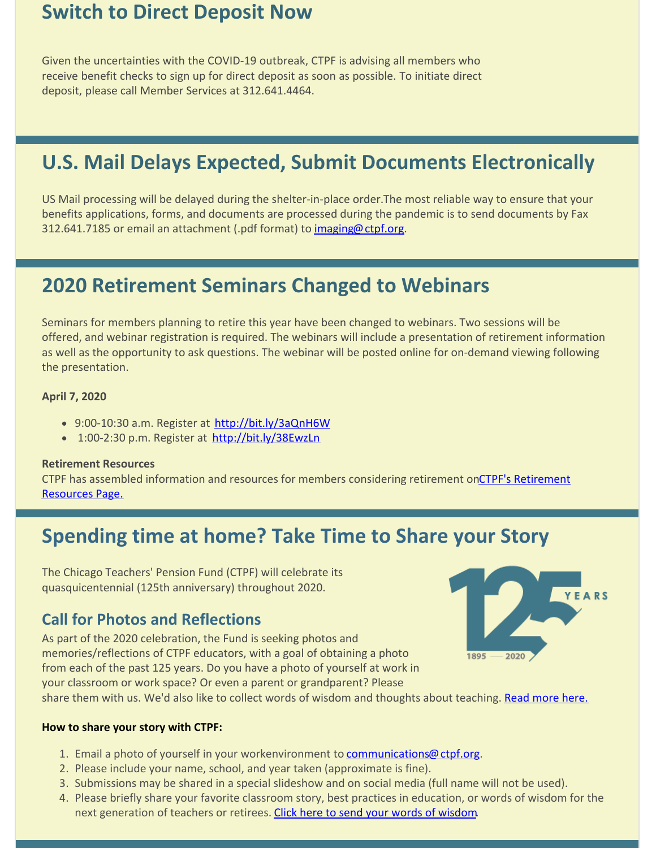## **Switch to Direct Deposit Now**

Given the uncertainties with the COVID-19 outbreak, CTPF is advising all members who receive benefit checks to sign up for direct deposit as soon as possible. To initiate direct deposit, please call Member Services at 312.641.4464.

# **U.S. Mail Delays Expected, Submit Documents Electronically**

US Mail processing will be delayed during the shelter-in-place order. The most reliable way to ensure that your benefits applications, forms, and documents are processed during the pandemic is to send documents by Fax 312.641.7185 or email an attachment (.pdf format) to [imaging@ctpf.org](mailto:imaging@ctpf.org).

# **2020 Retirement Seminars Changed to Webinars**

Seminars for members planning to retire this year have been changed to webinars. Two sessions will be offered, and webinar registration is required. The webinars will include a presentation of retirement information as well as the opportunity to ask questions. The webinar will be posted online for on-demand viewing following the presentation.

#### **April 7, 2020**

- 9:00-10:30 a.m. Register at <http://bit.ly/3aQnH6W>
- 1:00-2:30 p.m. Register at <http://bit.ly/38EwzLn>

#### **Retirement Resources**

[CTPF has assembled information and resources for members considering retirement on CTPF's Retirement](https://www.ctpf.org/retirement-resources) Resources Page.

## **Spending time at home? Take Time to Share your Story**

The Chicago Teachers' Pension Fund (CTPF) will celebrate its quasquicentennial (125th anniversary) throughout 2020.

### **Call for Photos and Reflections**

As part of the 2020 celebration, the Fund is seeking photos and memories/reflections of CTPF educators, with a goal of obtaining a photo from each of the past 125 years. Do you have a photo of yourself at work in your classroom or work space? Or even a parent or grandparent? Please



share them with us. We'd also like to collect words of wisdom and thoughts about teaching. [Read more here.](https://www.ctpf.org/ctpf125)

#### **How to share your story with CTPF:**

- 1. Email a photo of yourself in your workenvironment to [communications@ctpf.org](mailto:communications@ctpf.org).
- 2. Please include your name, school, and year taken (approximate is fine).
- 3. Submissions may be shared in a special slideshow and on social media (full name will not be used).
- 4. Please briefly share your favorite classroom story, best practices in education, or words of wisdom for the next generation of teachers or retirees. [Click here to send your words of wisdom](https://docs.google.com/forms/d/e/1FAIpQLScpnGIPRvQ88OJep_QAyIM-8pMSYz80eDFwURTIKoC8okTFOA/viewform).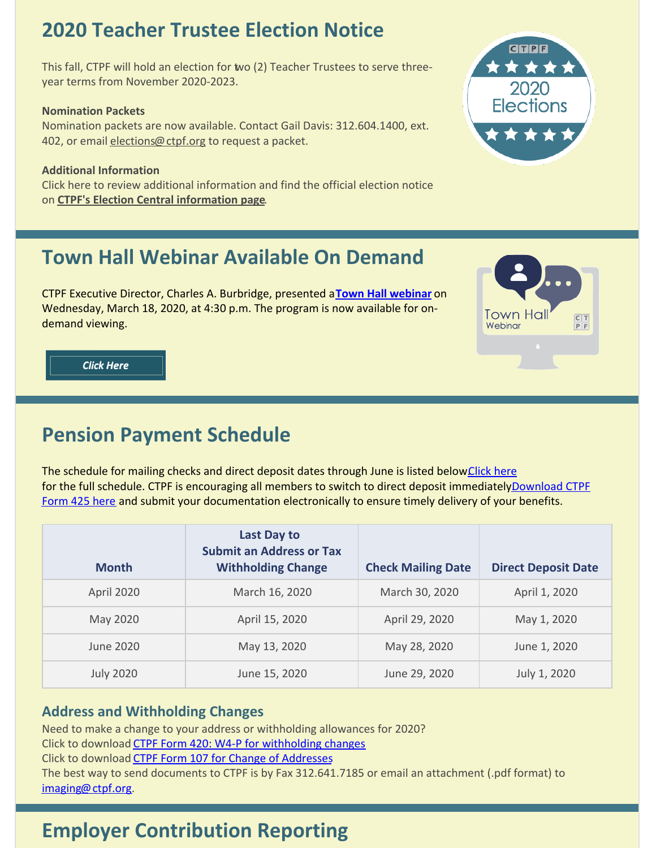# **2020 Teacher Trustee Election Notice**

This fall, CTPF will hold an election for two (2) Teacher Trustees to serve threeyear terms from November 2020-2023.

#### **Nomination Packets**

Nomination packets are now available. Contact Gail Davis: 312.604.1400, ext. 402, or email [elections@ctpf.org](mailto:elections@ctpf.org) to request a packet.

#### **Additional Information**

Click here to review additional information and find the official election notice on **CTPF's Election Central [information](https://www.ctpf.org/2020-election-central) page**.

# **Town Hall Webinar Available On Demand**

CTPF Executive Director, Charles A. Burbridge, presented a**Town Hall [webinar](https://register.gotowebinar.com/register/1996869650834528267)** on Wednesday, March 18, 2020, at 4:30 p.m. The program is now available for ondemand viewing.



**Click Here** 

# **Pension Payment Schedule**

The schedule for mailing checks and direct deposit dates through June is listed below Click here for the full schedule. CTPF is encouraging all members to switch to direct deposit immediatelyDownload CTPF Form 425 here and submit your documentation electronically to ensure timely delivery of your benefits.

| <b>Month</b>     | Last Day to<br><b>Submit an Address or Tax</b><br><b>Withholding Change</b> | <b>Check Mailing Date</b> | <b>Direct Deposit Date</b> |
|------------------|-----------------------------------------------------------------------------|---------------------------|----------------------------|
| April 2020       | March 16, 2020                                                              | March 30, 2020            | April 1, 2020              |
| May 2020         | April 15, 2020                                                              | April 29, 2020            | May 1, 2020                |
| June 2020        | May 13, 2020                                                                | May 28, 2020              | June 1, 2020               |
| <b>July 2020</b> | June 15, 2020                                                               | June 29, 2020             | July 1, 2020               |

### **Address and Withholding Changes**

Need to make a change to your address or withholding allowances for 2020?

Click to download CTPF Form 420: W4-P for [withholding](https://www.ctpf.org/sites/main/files/file-attachments/form_420__w-4p.pdf) changes

Click to download CTPF Form 107 for Change of [Addresses](https://www.ctpf.org/sites/main/files/file-attachments/form_107_temp_post_1.pdf)

The best way to send documents to CTPF is by Fax 312.641.7185 or email an attachment (.pdf format) to [imaging@ctpf.org](mailto:imaging@ctpf.org).

# **Employer Contribution Reporting**

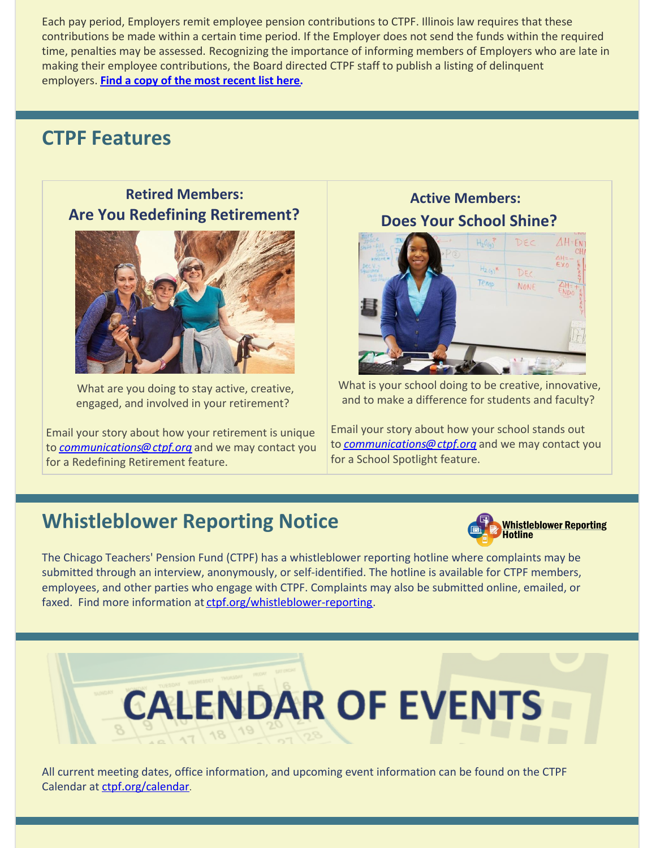Each pay period, Employers remit employee pension contributions to CTPF. Illinois law requires that these contributions be made within a certain time period. If the Employer does not send the funds within the required time, penalties may be assessed. Recognizing the importance of informing members of Employers who are late in making their employee contributions, the Board directed CTPF staff to publish a listing of delinquent employers. **Find a copy of the most [recent](http://ctpf.org/employer-contribution-reporting) list here.**

## **CTPF Features**

**Retired Members: Are You Redefining Retirement?**



What are you doing to stay active, creative, engaged, and involved in your retirement?

Email your story about how your retirement is unique to *[communications@ctpf.org](mailto:communications@ctpf.org)* and we may contact you for a Redefining Retirement feature.

**Active Members: Does Your School Shine?**



What is your school doing to be creative, innovative, and to make a difference for students and faculty?

Email your story about how your school stands out to *[communications@ctpf.org](mailto:socialmedia@ctpf.org)* and we may contact you for a School Spotlight feature.

# **Whistleblower Reporting Notice**



The Chicago Teachers' Pension Fund (CTPF) has a whistleblower reporting hotline where complaints may be submitted through an interview, anonymously, or self-identified. The hotline is available for CTPF members, employees, and other parties who engage with CTPF. Complaints may also be submitted online, emailed, or faxed. Find more information at [ctpf.org/whistleblower-reporting](http://ctpf.org/whistleblower-reporting).



All current meeting dates, office information, and upcoming event information can be found on the CTPF Calendar at [ctpf.org/calendar](http://www.ctpf.org/calendar).